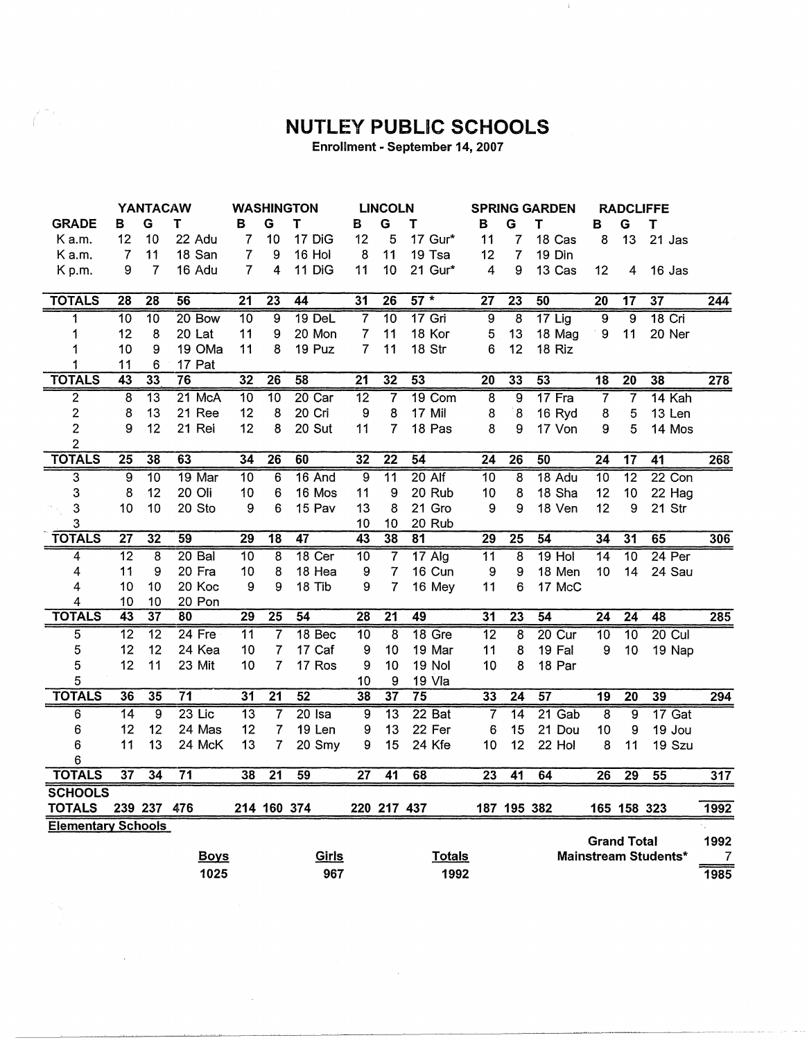## **NUTLEY PUBLIC SCHOOLS**

- 11

Enrollment - September 14, 2007

 $\frac{m}{2}$  ).

 $\sim 10^{-10}$ 

 $\sim 10^{-10}$ 

|                                 |                 | <b>YANTACAW</b> |                 |                 |                 | <b>WASHINGTON</b> | <b>LINCOLN</b>   |                 | <b>SPRING GARDEN</b> |                  | <b>RADCLIFFE</b>        |                 |                    |                  |                      |                |
|---------------------------------|-----------------|-----------------|-----------------|-----------------|-----------------|-------------------|------------------|-----------------|----------------------|------------------|-------------------------|-----------------|--------------------|------------------|----------------------|----------------|
| <b>GRADE</b>                    | в               | G               | т               | в               | G               | т                 | в                | G               | т                    | в                | G                       | т               | в                  | G                | т                    |                |
| K a.m.                          | 12              | 10              | 22 Adu          | 7               | 10              | 17 DiG            | 12               | 5               | 17 Gur*              | 11               | 7                       | 18 Cas          | 8                  | 13               | 21 Jas               |                |
| K a.m.                          | 7               | 11              | 18 San          | 7               | 9               | 16 Hol            | 8                | 11              | 19 Tsa               | 12               | 7                       | 19 Din          |                    |                  |                      |                |
| K <sub>p.m.</sub>               | 9               | 7               | 16 Adu          | 7               | $\overline{4}$  | 11 DiG            | 11               | 10              | 21 Gur*              | $\overline{4}$   | 9                       | 13 Cas          | 12                 | 4                | 16 Jas               |                |
| <b>TOTALS</b>                   | 28              | 28              | 56              | 21              | 23              | 44                | 31               | 26              | $57 *$               | 27               | $\overline{23}$         | 50              | 20                 | 17               | 37                   | 244            |
|                                 | $\overline{10}$ | 10              | 20 Bow          | 10              | 9               | $19$ DeL          | $\overline{7}$   | $\overline{10}$ | $17$ Gri             | $\overline{9}$   | 8                       | $17$ Lig        | $\overline{9}$     | $\overline{9}$   | $18$ Cri             |                |
| 1                               | 12              | 8               | 20 Lat          | 11              | 9               | 20 Mon            | 7                | 11              | 18 Kor               | 5                | 13                      | 18 Mag          | 9                  | 11               | 20 Ner               |                |
|                                 | 10              | 9               | 19 OMa          | 11              | 8               | 19 Puz            | 7                | 11              | 18 Str               | 6                | 12                      | 18 Riz          |                    |                  |                      |                |
|                                 | 11              | 6               | 17 Pat          |                 |                 |                   |                  |                 |                      |                  |                         |                 |                    |                  |                      |                |
| <b>TOTALS</b>                   | 43              | 33              | 76              | 32              | 26              | 58                | $\overline{21}$  | 32              | 53                   | 20               | 33                      | 53              | 18                 | 20               | 38                   | 278            |
| $\overline{\mathbf{c}}$         | 8               | $\overline{13}$ | $21$ McA        | 10              | $\overline{10}$ | 20 Car            | $\overline{12}$  | 7               | 19 Com               | $\overline{8}$   | $\overline{9}$          | 17 Fra          | $\overline{7}$     | $\overline{7}$   | 14 Kah               |                |
| $\mathbf{2}$                    | 8               | 13              | 21 Ree          | 12              | 8               | 20 Cri            | 9                | 8               | 17 Mil               | 8                | $\boldsymbol{8}$        | 16 Ryd          | 8                  | 5                | 13 Len               |                |
| $\overline{\mathbf{c}}$         | 9               | 12              | 21 Rei          | 12              | 8               | 20 Sut            | 11               | $\overline{7}$  | 18 Pas               | 8                | 9                       | 17 Von          | 9                  | 5                | 14 Mos               |                |
| $\overline{2}$                  |                 |                 |                 |                 |                 |                   |                  |                 |                      |                  |                         |                 |                    |                  |                      |                |
| <b>TOTALS</b>                   | $\overline{25}$ | 38              | 63              | 34              | 26              | 60                | 32               | $\overline{22}$ | 54                   | 24               | 26                      | 50              | $\overline{24}$    | 17               | 41                   | 268            |
| $\overline{3}$                  | $\overline{9}$  | $\overline{10}$ | 19 Mar          | $\overline{10}$ | $\overline{6}$  | 16 And            | ब्र              | $\overline{11}$ | $20$ Alf             | $\overline{10}$  | $\overline{\mathbf{8}}$ | 18 Adu          | $\overline{10}$    | $\overline{12}$  | 22 Con               |                |
| 3                               | 8               | 12              | 20 Oli          | 10              | 6               | 16 Mos            | 11               | 9               | 20 Rub               | 10               | 8                       | 18 Sha          | 12                 | 10               | 22 Hag               |                |
| 3                               | 10              | 10              | 20 Sto          | 9               | 6               | 15 Pav            | 13               | 8               | 21 Gro               | 9                | 9                       | 18 Ven          | 12                 | $\boldsymbol{9}$ | 21 Str               |                |
| 3                               |                 |                 |                 |                 |                 |                   | 10               | 10              | 20 Rub               |                  |                         |                 |                    |                  |                      |                |
| <b>TOTALS</b>                   | $\overline{27}$ | 32              | 59              | 29              | $\overline{18}$ | 47                | $\overline{43}$  | 38              | $\overline{81}$      | 29               | 25                      | 54              | $\overline{34}$    | 31               | 65                   | 306            |
| 4                               | $\overline{12}$ | 8               | $20$ Bal        | $\overline{10}$ | $\overline{8}$  | 18 Cer            | $\overline{10}$  | $\overline{7}$  | $17$ Alg             | 11               | $\overline{8}$          | $19$ Hol        | $\overline{14}$    | 10               | $24$ Per             |                |
| 4                               | 11              | 9               | 20 Fra          | 10              | 8               | 18 Hea            | 9                | $\overline{7}$  | 16 Cun               | $\boldsymbol{9}$ | 9                       | 18 Men          | 10                 | 14               | 24 Sau               |                |
| 4                               | 10              | 10              | 20 Koc          | 9               | 9               | 18 Tib            | 9                | 7               | 16 Mey               | 11               | 6                       | 17 McC          |                    |                  |                      |                |
| 4                               | 10              | 10              | 20 Pon          |                 |                 |                   |                  |                 |                      |                  |                         |                 |                    |                  |                      |                |
| <b>TOTALS</b>                   | 43              | 37              | 80              | 29              | $\overline{25}$ | 54                | $\overline{28}$  | $\overline{21}$ | 49                   | 31               | $\overline{23}$         | $\overline{54}$ | $\overline{24}$    | $\overline{24}$  | 48                   | 285            |
| 5                               | $\overline{12}$ | $\overline{12}$ | $24$ Fre        | $\overline{11}$ | $\overline{7}$  | 18 Bec            | $\overline{10}$  | $\overline{8}$  | 18 Gre               | $\overline{12}$  | $\overline{8}$          | 20 Cur          | $\overline{10}$    | 10               | $20$ Cul             |                |
| 5                               | 12              | 12              | 24 Kea          | 10              | $\overline{7}$  | 17 Caf            | $\boldsymbol{9}$ | 10              | 19 Mar               | 11               | 8                       | 19 Fal          | 9                  | 10               | 19 Nap               |                |
| 5                               | 12              | 11              | 23 Mit          | 10              | $\overline{7}$  | 17 Ros            | 9                | 10              | <b>19 Nol</b>        | 10               | 8                       | 18 Par          |                    |                  |                      |                |
| 5                               |                 |                 |                 |                 |                 |                   | 10               | 9               | 19 Vla               |                  |                         |                 |                    |                  |                      |                |
| <b>TOTALS</b>                   | 36              | 35              | $\overline{71}$ | 31              | $\overline{21}$ | 52                | 38               | 37              | $\overline{75}$      | 33               | 24                      | 57              | $\overline{19}$    | $\overline{20}$  | 39                   | 294            |
| 6                               | 14              | $\overline{9}$  | $23$ Lic        | $\overline{13}$ | $\overline{7}$  | $20$ Isa          | $\overline{9}$   | $\overline{13}$ | $22$ Bat             | $\overline{7}$   | $\overline{14}$         | $21$ Gab        | $\overline{8}$     | $\overline{9}$   | 17 Gat               |                |
| 6                               | 12              | 12              | 24 Mas          | 12              | $\overline{7}$  | 19 Len            | 9                | 13              | 22 Fer               | 6                | 15                      | 21 Dou          | 10                 | 9                | 19 Jou               |                |
| 6                               | 11              | 13              | 24 McK          | 13              | 7               | 20 Smy            | 9                | 15              | 24 Kfe               | 10               | 12                      | 22 Hol          | 8                  | 11               | 19 Szu               |                |
| 6<br><b>TOTALS</b>              | 37              | 34              | $\overline{71}$ | 38              | $\overline{21}$ | 59                | $\overline{27}$  | $\overline{41}$ | 68                   | $\overline{23}$  | $\overline{41}$         | 64              | $\overline{26}$    |                  | 55                   |                |
|                                 |                 |                 |                 |                 |                 |                   |                  |                 |                      |                  |                         |                 |                    | 29               |                      | 317            |
| <b>SCHOOLS</b><br><b>TOTALS</b> |                 | 239 237 476     |                 |                 |                 | 214 160 374       |                  | 220 217 437     |                      |                  | 187 195 382             |                 |                    | 165 158 323      |                      | 1992           |
| <b>Elementary Schools</b>       |                 |                 |                 |                 |                 |                   |                  |                 |                      |                  |                         |                 |                    |                  |                      |                |
|                                 |                 |                 |                 |                 |                 |                   |                  |                 |                      |                  |                         |                 | <b>Grand Total</b> |                  |                      | 1992           |
|                                 |                 |                 | <b>Boys</b>     |                 |                 | Girls             |                  |                 | <b>Totals</b>        |                  |                         |                 |                    |                  | Mainstream Students* | $\overline{7}$ |
|                                 |                 |                 | 1025            |                 |                 | 967               |                  |                 | 1992                 |                  |                         |                 |                    |                  |                      | 1985           |